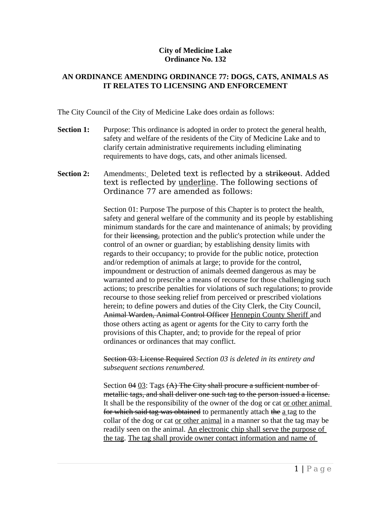## **City of Medicine Lake Ordinance No. 132**

## **AN ORDINANCE AMENDING ORDINANCE 77: DOGS, CATS, ANIMALS AS IT RELATES TO LICENSING AND ENFORCEMENT**

The City Council of the City of Medicine Lake does ordain as follows:

- **Section 1:** Purpose: This ordinance is adopted in order to protect the general health, safety and welfare of the residents of the City of Medicine Lake and to clarify certain administrative requirements including eliminating requirements to have dogs, cats, and other animals licensed.
- **Section 2:** Amendments: Deleted text is reflected by a strikeout. Added text is reflected by underline. The following sections of Ordinance 77 are amended as follows:

Section 01: Purpose The purpose of this Chapter is to protect the health, safety and general welfare of the community and its people by establishing minimum standards for the care and maintenance of animals; by providing for their licensing, protection and the public's protection while under the control of an owner or guardian; by establishing density limits with regards to their occupancy; to provide for the public notice, protection and/or redemption of animals at large; to provide for the control, impoundment or destruction of animals deemed dangerous as may be warranted and to prescribe a means of recourse for those challenging such actions; to prescribe penalties for violations of such regulations; to provide recourse to those seeking relief from perceived or prescribed violations herein; to define powers and duties of the City Clerk, the City Council, Animal Warden, Animal Control Officer Hennepin County Sheriff and those others acting as agent or agents for the City to carry forth the provisions of this Chapter, and; to provide for the repeal of prior ordinances or ordinances that may conflict.

Section 03: License Required *Section 03 is deleted in its entirety and subsequent sections renumbered.*

Section 04 03: Tags (A) The City shall procure a sufficient number of metallic tags, and shall deliver one such tag to the person issued a license. It shall be the responsibility of the owner of the dog or cat or other animal for which said tag was obtained to permanently attach the a tag to the collar of the dog or cat or other animal in a manner so that the tag may be readily seen on the animal. An electronic chip shall serve the purpose of the tag. The tag shall provide owner contact information and name of